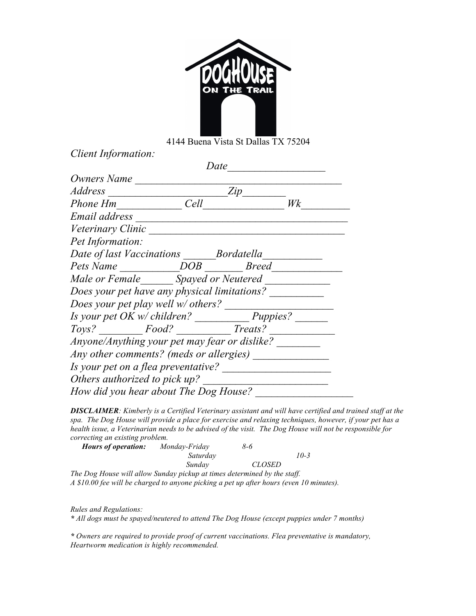

4144 Buena Vista St Dallas TX 75204

*Client Information:*

|                                                | Date             |     |    |
|------------------------------------------------|------------------|-----|----|
| Owners Name                                    |                  |     |    |
| Address                                        |                  | Zip |    |
| Phone Hm                                       | Cell             |     | Wk |
| Email address                                  |                  |     |    |
| Veterinary Clinic                              |                  |     |    |
| Pet Information:                               |                  |     |    |
| Date of last Vaccinations Bordatella           |                  |     |    |
| Pets Name                                      | <i>DOB Breed</i> |     |    |
| Male or Female Spayed or Neutered              |                  |     |    |
| Does your pet have any physical limitations?   |                  |     |    |
| Does your pet play well w/ others?             |                  |     |    |
|                                                |                  |     |    |
| Toys? ___________Food? ________________Treats? |                  |     |    |
| Anyone/Anything your pet may fear or dislike?  |                  |     |    |
|                                                |                  |     |    |
|                                                |                  |     |    |
| Others authorized to pick up?                  |                  |     |    |
| How did you hear about The Dog House?          |                  |     |    |

*DISCLAIMER: Kimberly is a Certified Veterinary assistant and will have certified and trained staff at the spa. The Dog House will provide a place for exercise and relaxing techniques, however, if your pet has a health issue, a Veterinarian needs to be advised of the visit. The Dog House will not be responsible for correcting an existing problem.* 

| <b>Hours of operation:</b>                                                              | Monday-Friday | 8-6           |        |
|-----------------------------------------------------------------------------------------|---------------|---------------|--------|
|                                                                                         | Saturday      |               | $10-3$ |
|                                                                                         | Sundav        | <i>CLOSED</i> |        |
| The Dog House will allow Sunday pickup at times determined by the staff.                |               |               |        |
| A \$10.00 fee will be charged to anyone picking a pet up after hours (even 10 minutes). |               |               |        |

*Rules and Regulations:*

*\* All dogs must be spayed/neutered to attend The Dog House (except puppies under 7 months)*

*\* Owners are required to provide proof of current vaccinations. Flea preventative is mandatory, Heartworm medication is highly recommended.*